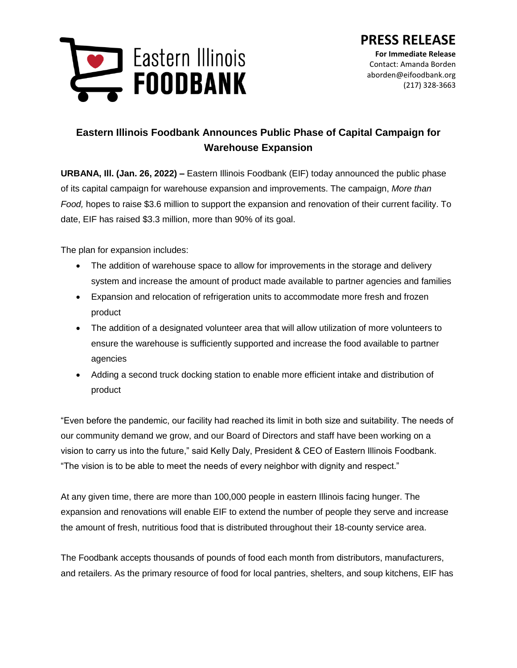

## **Eastern Illinois Foodbank Announces Public Phase of Capital Campaign for Warehouse Expansion**

**URBANA, Ill. (Jan. 26, 2022) –** Eastern Illinois Foodbank (EIF) today announced the public phase of its capital campaign for warehouse expansion and improvements. The campaign, *More than Food,* hopes to raise \$3.6 million to support the expansion and renovation of their current facility. To date, EIF has raised \$3.3 million, more than 90% of its goal.

The plan for expansion includes:

- The addition of warehouse space to allow for improvements in the storage and delivery system and increase the amount of product made available to partner agencies and families
- Expansion and relocation of refrigeration units to accommodate more fresh and frozen product
- The addition of a designated volunteer area that will allow utilization of more volunteers to ensure the warehouse is sufficiently supported and increase the food available to partner agencies
- Adding a second truck docking station to enable more efficient intake and distribution of product

"Even before the pandemic, our facility had reached its limit in both size and suitability. The needs of our community demand we grow, and our Board of Directors and staff have been working on a vision to carry us into the future," said Kelly Daly, President & CEO of Eastern Illinois Foodbank. "The vision is to be able to meet the needs of every neighbor with dignity and respect."

At any given time, there are more than 100,000 people in eastern Illinois facing hunger. The expansion and renovations will enable EIF to extend the number of people they serve and increase the amount of fresh, nutritious food that is distributed throughout their 18-county service area.

The Foodbank accepts thousands of pounds of food each month from distributors, manufacturers, and retailers. As the primary resource of food for local pantries, shelters, and soup kitchens, EIF has